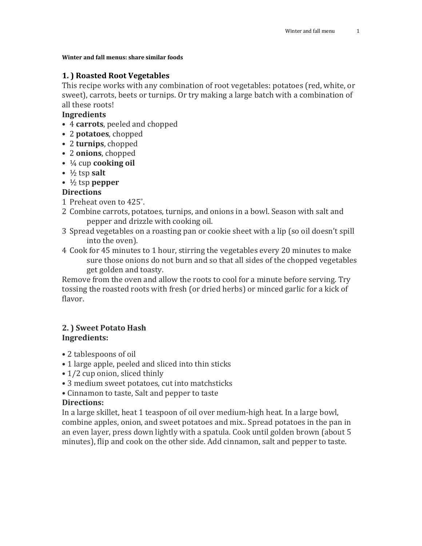#### **Winter and fall menus: share similar foods**

# **1. ) Roasted Root Vegetables**

This recipe works with any combination of root vegetables: potatoes (red, white, or sweet), carrots, beets or turnips. Or try making a large batch with a combination of all these roots!

# **Ingredients**

- 4 **carrots**, peeled and chopped
- 2 **potatoes**, chopped
- 2 **turnips**, chopped
- 2 **onions**, chopped
- ¼ cup **cooking oil**
- $\cdot$   $\frac{1}{2}$  tsp **salt**
- ½ tsp **pepper**

# **Directions**

- 1 Preheat oven to 425˚.
- 2 Combine carrots, potatoes, turnips, and onions in a bowl. Season with salt and pepper and drizzle with cooking oil.
- 3 Spread vegetables on a roasting pan or cookie sheet with a lip (so oil doesn't spill into the oven).
- 4 Cook for 45 minutes to 1 hour, stirring the vegetables every 20 minutes to make sure those onions do not burn and so that all sides of the chopped vegetables get golden and toasty.

Remove from the oven and allow the roots to cool for a minute before serving. Try tossing the roasted roots with fresh (or dried herbs) or minced garlic for a kick of flavor.

### **2. ) Sweet Potato Hash Ingredients:**

- 2 tablespoons of oil
- 1 large apple, peeled and sliced into thin sticks
- 1/2 cup onion, sliced thinly
- 3 medium sweet potatoes, cut into matchsticks
- Cinnamon to taste, Salt and pepper to taste

### **Directions:**

In a large skillet, heat 1 teaspoon of oil over medium-high heat. In a large bowl, combine apples, onion, and sweet potatoes and mix.. Spread potatoes in the pan in an even layer, press down lightly with a spatula. Cook until golden brown (about 5 minutes), flip and cook on the other side. Add cinnamon, salt and pepper to taste.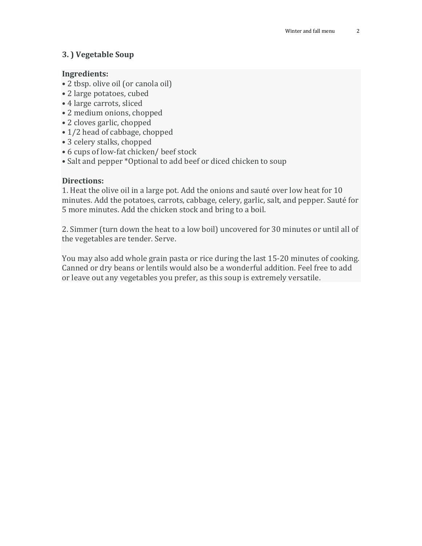# **3. ) Vegetable Soup**

### **Ingredients:**

- 2 tbsp. olive oil (or canola oil)
- 2 large potatoes, cubed
- 4 large carrots, sliced
- 2 medium onions, chopped
- 2 cloves garlic, chopped
- 1/2 head of cabbage, chopped
- 3 celery stalks, chopped
- 6 cups of low-fat chicken/ beef stock
- Salt and pepper \*Optional to add beef or diced chicken to soup

### **Directions:**

1. Heat the olive oil in a large pot. Add the onions and sauté over low heat for 10 minutes. Add the potatoes, carrots, cabbage, celery, garlic, salt, and pepper. Sauté for 5 more minutes. Add the chicken stock and bring to a boil.

2. Simmer (turn down the heat to a low boil) uncovered for 30 minutes or until all of the vegetables are tender. Serve.

You may also add whole grain pasta or rice during the last 15-20 minutes of cooking. Canned or dry beans or lentils would also be a wonderful addition. Feel free to add or leave out any vegetables you prefer, as this soup is extremely versatile.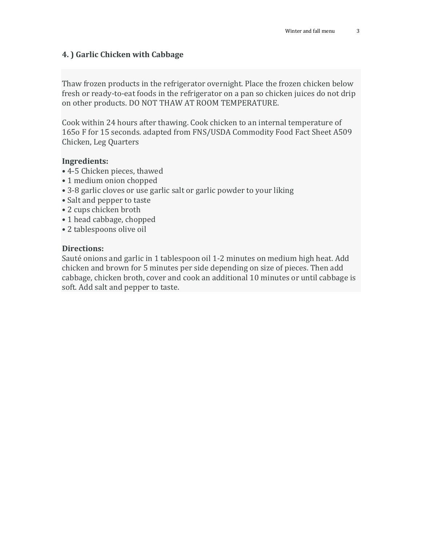### **4. ) Garlic Chicken with Cabbage**

Thaw frozen products in the refrigerator overnight. Place the frozen chicken below fresh or ready-to-eat foods in the refrigerator on a pan so chicken juices do not drip on other products. DO NOT THAW AT ROOM TEMPERATURE.

Cook within 24 hours after thawing. Cook chicken to an internal temperature of 165o F for 15 seconds. adapted from FNS/USDA Commodity Food Fact Sheet A509 Chicken, Leg Quarters

#### **Ingredients:**

- 4-5 Chicken pieces, thawed
- 1 medium onion chopped
- 3-8 garlic cloves or use garlic salt or garlic powder to your liking
- Salt and pepper to taste
- 2 cups chicken broth
- 1 head cabbage, chopped
- 2 tablespoons olive oil

#### **Directions:**

Sauté onions and garlic in 1 tablespoon oil 1-2 minutes on medium high heat. Add chicken and brown for 5 minutes per side depending on size of pieces. Then add cabbage, chicken broth, cover and cook an additional 10 minutes or until cabbage is soft. Add salt and pepper to taste.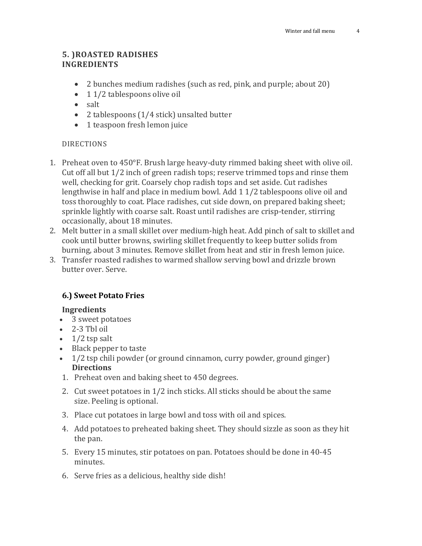# **5. )ROASTED RADISHES INGREDIENTS**

- 2 bunches medium radishes (such as red, pink, and purple; about 20)
- 11/2 tablespoons olive oil
- salt
- 2 tablespoons (1/4 stick) unsalted butter
- 1 teaspoon fresh lemon juice

### DIRECTIONS

- 1. Preheat oven to 450°F. Brush large heavy-duty rimmed baking sheet with olive oil. Cut off all but 1/2 inch of green radish tops; reserve trimmed tops and rinse them well, checking for grit. Coarsely chop radish tops and set aside. Cut radishes lengthwise in half and place in medium bowl. Add 1 1/2 tablespoons olive oil and toss thoroughly to coat. Place radishes, cut side down, on prepared baking sheet; sprinkle lightly with coarse salt. Roast until radishes are crisp-tender, stirring occasionally, about 18 minutes.
- 2. Melt butter in a small skillet over medium-high heat. Add pinch of salt to skillet and cook until butter browns, swirling skillet frequently to keep butter solids from burning, about 3 minutes. Remove skillet from heat and stir in fresh lemon juice.
- 3. Transfer roasted radishes to warmed shallow serving bowl and drizzle brown butter over. Serve.

# **6.) Sweet Potato Fries**

#### **Ingredients**

- 3 sweet potatoes
- 2-3 Tbl oil
- $\bullet$  1/2 tsp salt
- Black pepper to taste
- 1/2 tsp chili powder (or ground cinnamon, curry powder, ground ginger) **Directions**
- 1. Preheat oven and baking sheet to 450 degrees.
- 2. Cut sweet potatoes in 1/2 inch sticks. All sticks should be about the same size. Peeling is optional.
- 3. Place cut potatoes in large bowl and toss with oil and spices.
- 4. Add potatoes to preheated baking sheet. They should sizzle as soon as they hit the pan.
- 5. Every 15 minutes, stir potatoes on pan. Potatoes should be done in 40-45 minutes.
- 6. Serve fries as a delicious, healthy side dish!